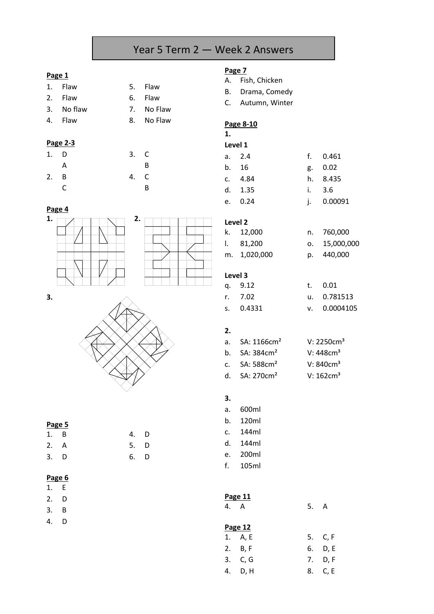# Year 5 Term 2 — Week 2 Answers

## **Page 1**

- 1. Flaw 5. Flaw
- 2. Flaw 6. Flaw
- 3. No flaw 7. No Flaw
- 

## **Page 2-3**

| 1. D |   | 3. C |              |
|------|---|------|--------------|
|      | Α |      | B            |
| 2. B |   | 4.   | $\mathsf{C}$ |
|      | C |      | B            |

| 3. NO HdW |    | 7. NO FIAW |
|-----------|----|------------|
| 4. Flaw   | 8. | No Flaw    |
| Page 2-3  |    |            |

3. C

### **Page 4**

**3.**







| Page 5 |          |    |     |
|--------|----------|----|-----|
| 1.     | B        | 4. | D   |
| 2.     | <b>A</b> | 5. | - D |
| 3.     | D        | 6. | Ð   |

## **Page 6**

- 1. E
- 2. D
- 3. B
- 4. D

- A. Fish, Chicken
- B. Drama, Comedy
- C. Autumn, Winter

## **Page 8-10**

**1.**

| Level 1 |           |  |            |
|---------|-----------|--|------------|
|         | a. 2.4    |  | f. 0.461   |
|         | b. 16     |  | g. 0.02    |
|         | c. $4.84$ |  | h. 8.435   |
|         | d. 1.35   |  | i. 3.6     |
|         | e. 0.24   |  | i. 0.00091 |

## **Level 2**

| k. 12,000    | n. 760,000    |
|--------------|---------------|
| 1. 81.200    | 0. 15,000,000 |
| m. 1,020,000 | p. 440,000    |

### **Level 3**

| q. 9.12   | $t = 0.01$   |
|-----------|--------------|
| r. 7.02   | u. 0.781513  |
| s. 0.4331 | v. 0.0004105 |

## **2.**

|                | a. SA: 1166cm <sup>2</sup> | V: 2250cm <sup>3</sup> |
|----------------|----------------------------|------------------------|
| b.             | SA: 384cm <sup>2</sup>     | V: $448 \text{cm}^3$   |
| $\mathbf{c}$ . | SA:588cm <sup>2</sup>      | V: $840cm3$            |
| d. I           | SA: 270cm <sup>2</sup>     | $V: 162 \text{cm}^3$   |

## **3.**

- a. 600ml b. 120ml
- c. 144ml
- d. 144ml
- e. 200ml
- f. 105ml

## **Page 11**

4. A 5. A

| Page 12 |         |    |         |  |
|---------|---------|----|---------|--|
|         | 1. A, E |    | 5. C, F |  |
|         | 2. B, F | 6. | D, E    |  |
|         | 3. C, G | 7. | D, F    |  |
| 4.      | D, H    | 8. | C, E    |  |